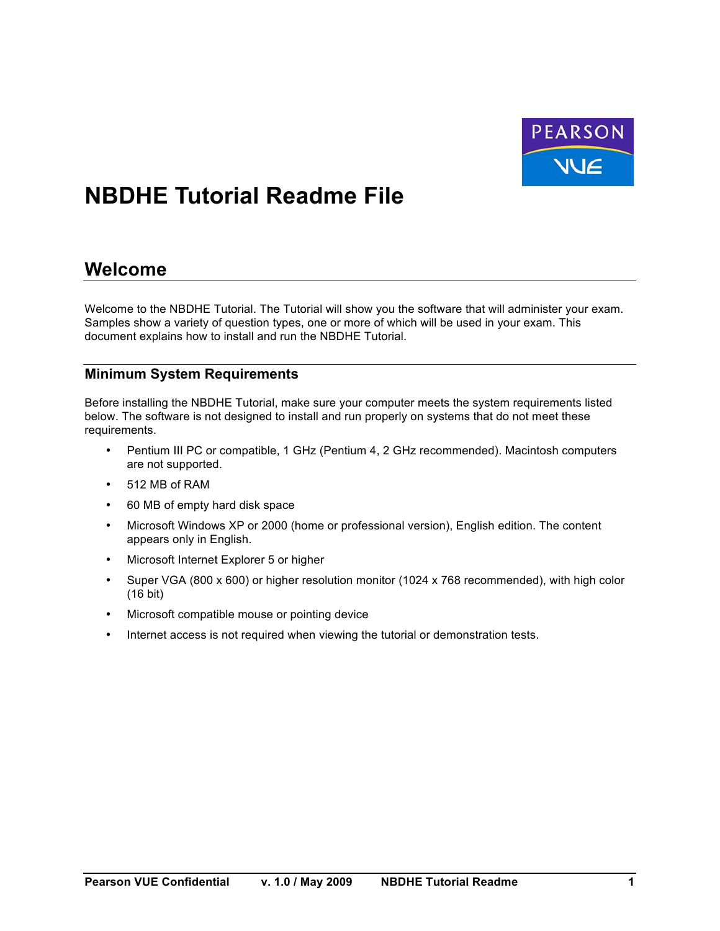

# **NBDHE Tutorial Readme File**

### **Welcome**

Welcome to the NBDHE Tutorial. The Tutorial will show you the software that will administer your exam. Samples show a variety of question types, one or more of which will be used in your exam. This document explains how to install and run the NBDHE Tutorial.

#### **Minimum System Requirements**

Before installing the NBDHE Tutorial, make sure your computer meets the system requirements listed below. The software is not designed to install and run properly on systems that do not meet these requirements.

- Pentium III PC or compatible, 1 GHz (Pentium 4, 2 GHz recommended). Macintosh computers are not supported.
- 512 MB of RAM
- 60 MB of empty hard disk space
- Microsoft Windows XP or 2000 (home or professional version), English edition. The content appears only in English.
- Microsoft Internet Explorer 5 or higher
- Super VGA (800 x 600) or higher resolution monitor (1024 x 768 recommended), with high color (16 bit)
- Microsoft compatible mouse or pointing device
- Internet access is not required when viewing the tutorial or demonstration tests.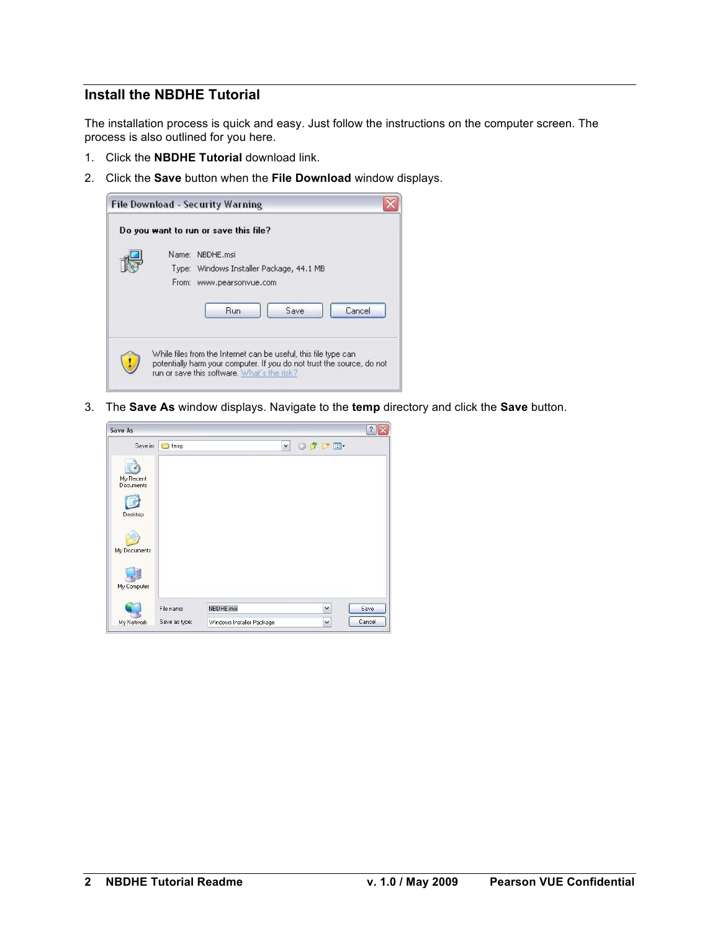#### **Install the NBDHE Tutorial**

The installation process is quick and easy. Just follow the instructions on the computer screen. The process is also outlined for you here.

- 1. Click the **NBDHE Tutorial** download link.
- 2. Click the **Save** button when the **File Download** window displays.

| Do you want to run or save this file?                                                                                   |
|-------------------------------------------------------------------------------------------------------------------------|
| Name: NBDHE.msi<br>Type: Windows Installer Package, 44.1 MB<br>From: www.pearsonvue.com<br>Cancel<br><b>Run</b><br>Save |
| While files from the Internet can be useful, this file type can                                                         |

3. The **Save As** window displays. Navigate to the **temp** directory and click the **Save** button.

| Save As                       |               |                           |  |              |       | $\hat{?}$ |
|-------------------------------|---------------|---------------------------|--|--------------|-------|-----------|
| Save in:                      | temp          | $\checkmark$              |  |              | ODPE- |           |
| My Recent<br><b>Documents</b> |               |                           |  |              |       |           |
| Desktop                       |               |                           |  |              |       |           |
| My Documents                  |               |                           |  |              |       |           |
| My Computer                   |               |                           |  |              |       |           |
|                               | File name:    | NBDHE.msl                 |  | $\checkmark$ |       | Save      |
| My Network                    | Save as type: | Windows Installer Package |  | $\checkmark$ |       | Cancel    |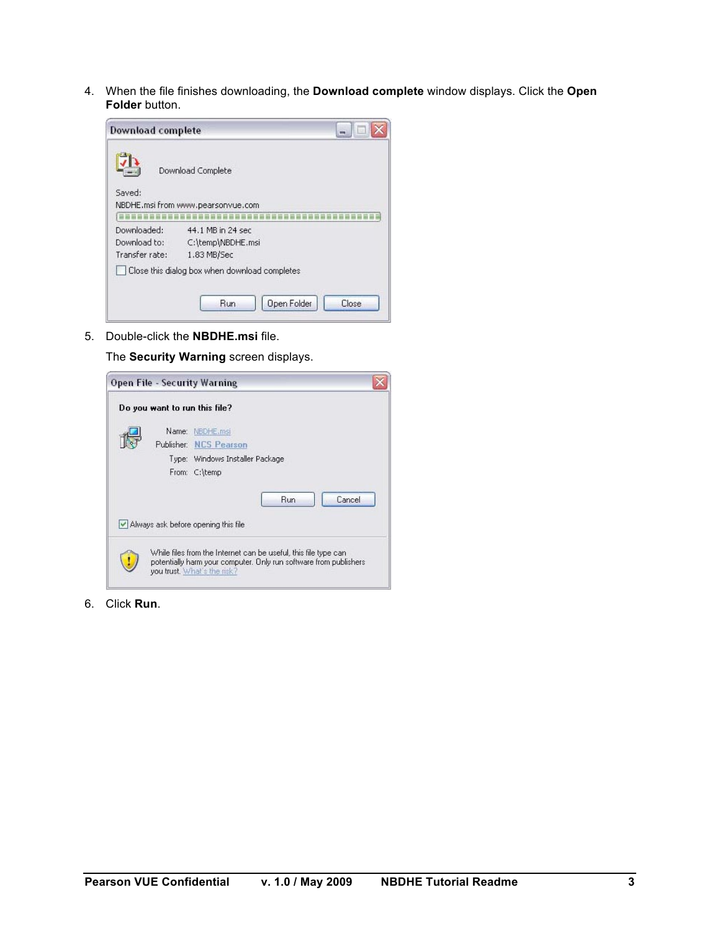4. When the file finishes downloading, the **Download complete** window displays. Click the **Open Folder** button.

| <b>Download complete</b> |                                                        |  |
|--------------------------|--------------------------------------------------------|--|
| Saved:                   | Download Complete<br>NBDHE.msi from www.pearsonvue.com |  |
| Downloaded:              | 44.1 MB in 24 sec                                      |  |
| Download to:             | C:\temp\NBDHE.msi                                      |  |
| Transfer rate:           | 1.83 MB/Sec                                            |  |
|                          | Close this dialog box when download completes          |  |
|                          |                                                        |  |

5. Double-click the **NBDHE.msi** file.

The **Security Warning** screen displays.

| <b>Open File - Security Warning</b>                                                                                                                                 |  |
|---------------------------------------------------------------------------------------------------------------------------------------------------------------------|--|
| Do you want to run this file?                                                                                                                                       |  |
| Name: NBDHE.msi<br>Publisher: NCS Pearson                                                                                                                           |  |
| Type: Windows Installer Package<br>From: C:\temp                                                                                                                    |  |
| Cancel<br><b>Run</b>                                                                                                                                                |  |
| Always ask before opening this file                                                                                                                                 |  |
| While files from the Internet can be useful, this file type can<br>potentially harm your computer. Only run software from publishers<br>you trust. What's the risk? |  |

6. Click **Run**.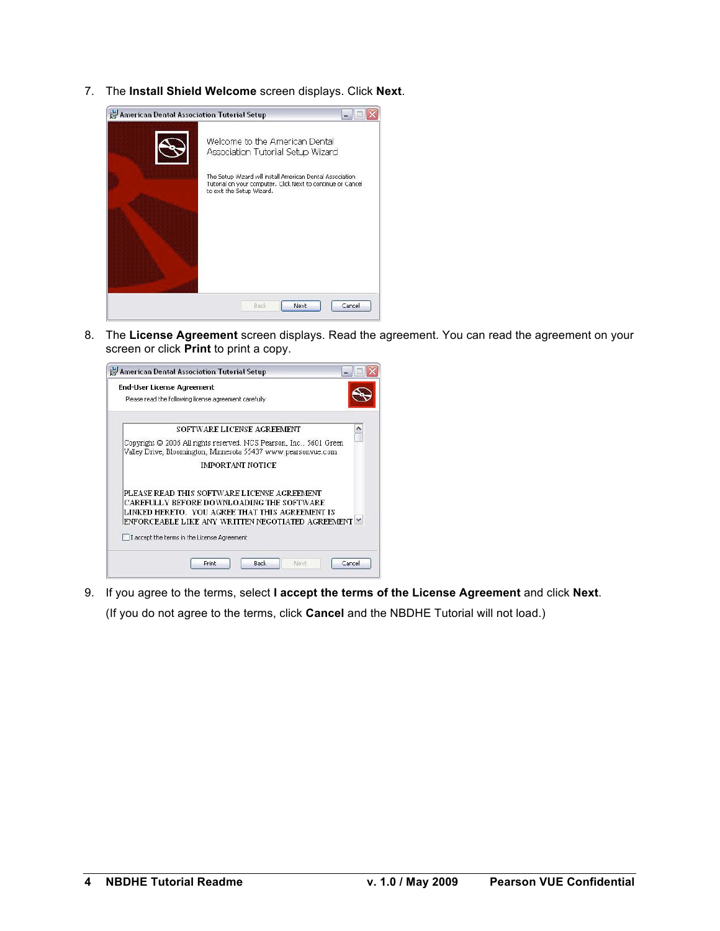7. The **Install Shield Welcome** screen displays. Click **Next**.

| American Dental Association Tutorial Setup |                                                                                                                                                        |
|--------------------------------------------|--------------------------------------------------------------------------------------------------------------------------------------------------------|
|                                            | Welcome to the American Dental<br>Association Tutorial Setup Wizard                                                                                    |
|                                            | The Setup Wizard will install American Dental Association<br>Tutorial on your computer. Click Next to continue or Cancel.<br>to exit the Setup Wizard. |
|                                            | Cancel<br>Next<br>Back                                                                                                                                 |

8. The **License Agreement** screen displays. Read the agreement. You can read the agreement on your screen or click **Print** to print a copy.



9. If you agree to the terms, select **I accept the terms of the License Agreement** and click **Next**. (If you do not agree to the terms, click **Cancel** and the NBDHE Tutorial will not load.)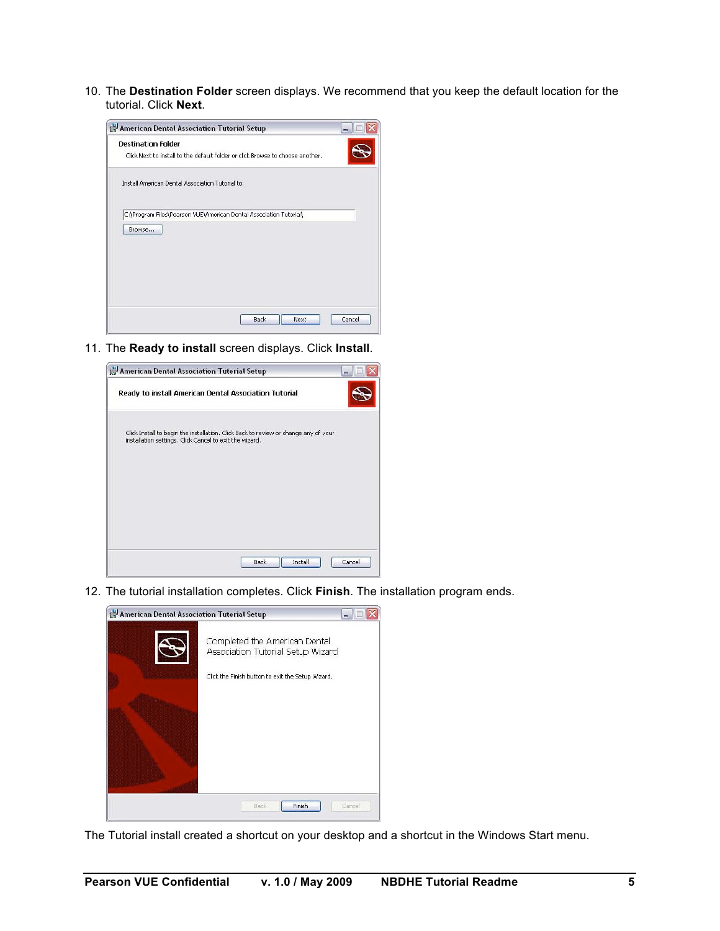10. The **Destination Folder** screen displays. We recommend that you keep the default location for the tutorial. Click **Next**.



11. The **Ready to install** screen displays. Click **Install**.



12. The tutorial installation completes. Click **Finish**. The installation program ends.

| American Dental Association Tutorial Setup |                                                                    |
|--------------------------------------------|--------------------------------------------------------------------|
|                                            | Completed the American Dental<br>Association Tutorial Setup Wizard |
|                                            | Click the Finish button to exit the Setup Wizard.                  |
|                                            |                                                                    |
|                                            |                                                                    |
|                                            |                                                                    |
|                                            |                                                                    |
|                                            | Finish<br>Cancel<br>Back                                           |

The Tutorial install created a shortcut on your desktop and a shortcut in the Windows Start menu.